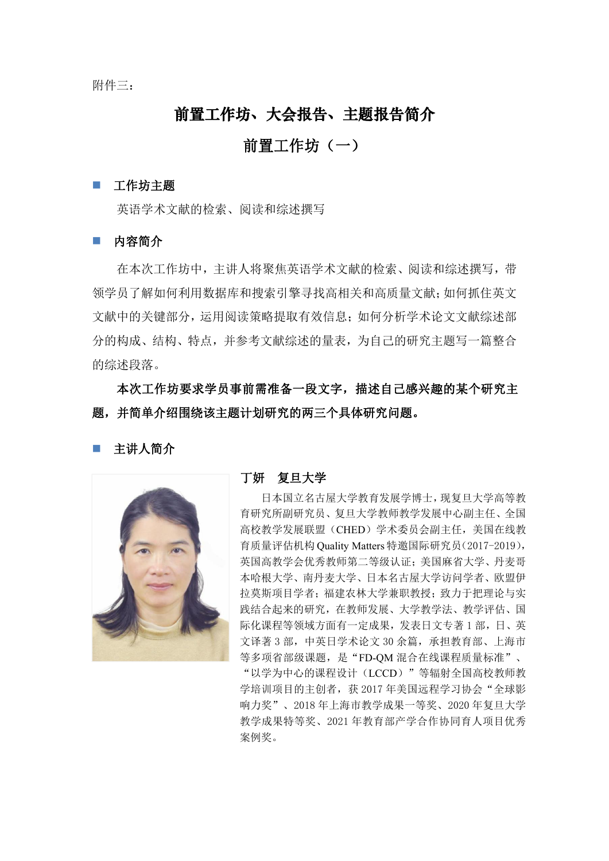附件三:

# 前置工作坊、大会报告、主题报告简介

# 前置工作坊(一)

### 工作坊主题

英语学术文献的检索、阅读和综述撰写

■ 内容简介

在本次工作坊中,主讲人将聚焦英语学术文献的检索、阅读和综述撰写,带 领学员了解如何利用数据库和搜索引擎寻找高相关和高质量文献;如何抓住英文 文献中的关键部分,运用阅读策略提取有效信息;如何分析学术论文文献综述部 分的构成、结构、特点,并参考文献综述的量表,为自己的研究主题写一篇整合 的综述段落。

本次工作坊要求学员事前需准备一段文字,描述自己感兴趣的某个研究主 题,并简单介绍围绕该主题计划研究的两三个具体研究问题。

### 主讲人简介



### 丁妍 复旦大学

日本国立名古屋大学教育发展学博士,现复旦大学高等教 育研究所副研究员、复旦大学教师教学发展中心副主任、全国 高校教学发展联盟(CHED)学术委员会副主任,美国在线教 育质量评估机构 Quality Matters 特邀国际研究员(2017-2019), 英国高教学会优秀教师第二等级认证;美国麻省大学、丹麦哥 本哈根大学、南丹麦大学、日本名古屋大学访问学者、欧盟伊 拉莫斯项目学者;福建农林大学兼职教授;致力于把理论与实 践结合起来的研究,在教师发展、大学教学法、教学评估、国 际化课程等领域方面有一定成果,发表日文专著 1 部,日、英 文译著 3 部, 中英日学术论文 30 余篇, 承担教育部、上海市 等多项省部级课题,是"FD-QM 混合在线课程质量标准"、 "以学为中心的课程设计(LCCD)"等辐射全国高校教师教 学培训项目的主创者,获 2017 年美国远程学习协会"全球影

响力奖"、2018 年上海市教学成果一等奖、2020 年复旦大学 教学成果特等奖、2021 年教育部产学合作协同育人项目优秀 案例奖。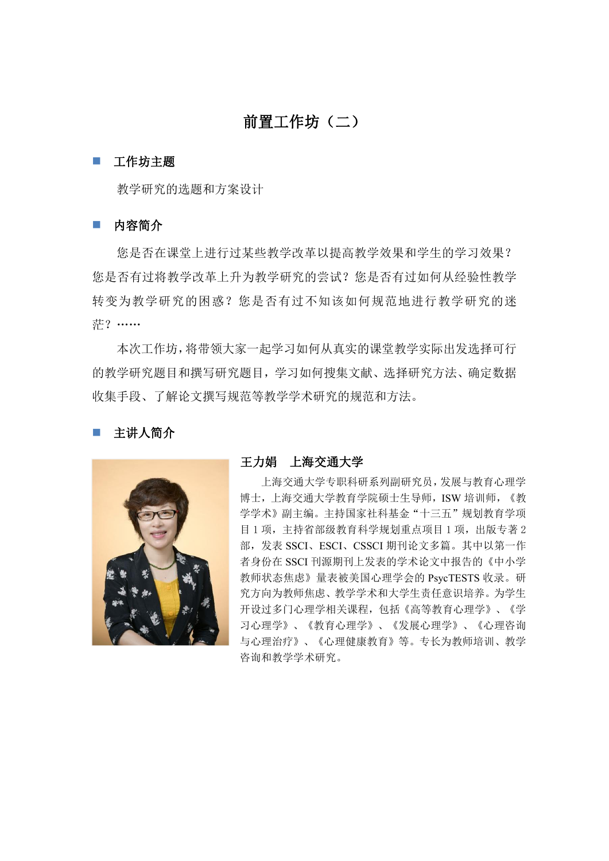# 前置工作坊(二)

### 工作坊主题

教学研究的选题和方案设计

### ■ 内容简介

您是否在课堂上进行过某些教学改革以提高教学效果和学生的学习效果? 您是否有过将教学改革上升为教学研究的尝试?您是否有过如何从经验性教学 转变为教学研究的困惑?您是否有过不知该如何规范地进行教学研究的迷 茫?……

本次工作坊,将带领大家一起学习如何从真实的课堂教学实际出发选择可行 的教学研究题目和撰写研究题目,学习如何搜集文献、选择研究方法、确定数据 收集手段、了解论文撰写规范等教学学术研究的规范和方法。

# 主讲人简介



#### 王力娟 上海交通大学

上海交通大学专职科研系列副研究员,发展与教育心理学 博士,上海交通大学教育学院硕士生导师,ISW 培训师,《教 学学术》副主编。主持国家社科基金"十三五"规划教育学项 目 1 项,主持省部级教育科学规划重点项目 1 项,出版专著 2 部,发表 SSCI、ESCI、CSSCI 期刊论文多篇。其中以第一作 者身份在 SSCI 刊源期刊上发表的学术论文中报告的《中小学 教师状态焦虑》量表被美国心理学会的 PsycTESTS 收录。研 究方向为教师焦虑、教学学术和大学生责任意识培养。为学生 开设过多门心理学相关课程,包括《高等教育心理学》、《学 习心理学》、《教育心理学》、《发展心理学》、《心理咨询 与心理治疗》、《心理健康教育》等。专长为教师培训、教学 咨询和教学学术研究。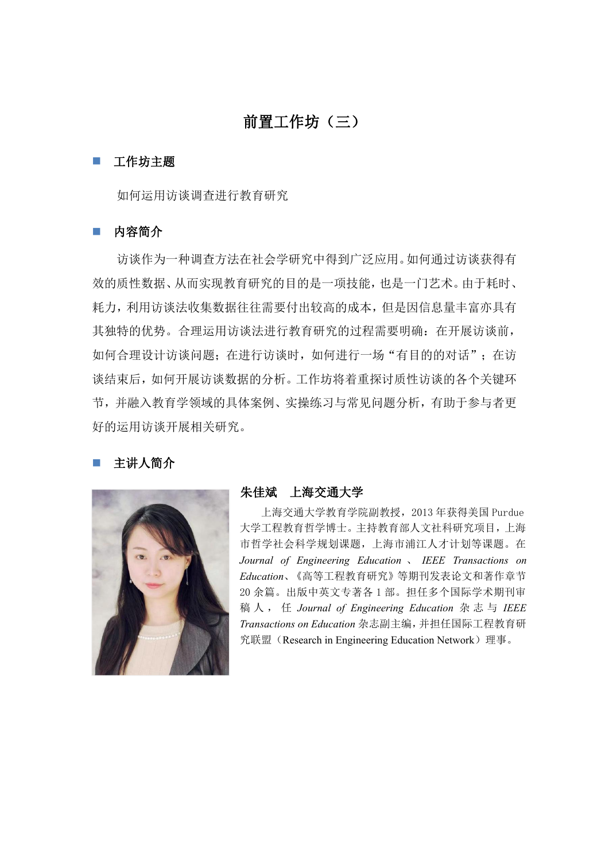# 前置工作坊(三)

### 工作坊主题

如何运用访谈调查进行教育研究

# ■ 内容简介

访谈作为一种调查方法在社会学研究中得到广泛应用。如何通过访谈获得有 效的质性数据、从而实现教育研究的目的是一项技能,也是一门艺术。由于耗时、 耗力,利用访谈法收集数据往往需要付出较高的成本,但是因信息量丰富亦具有 其独特的优势。合理运用访谈法进行教育研究的过程需要明确:在开展访谈前, 如何合理设计访谈问题;在进行访谈时,如何进行一场"有目的的对话";在访 谈结束后,如何开展访谈数据的分析。工作坊将着重探讨质性访谈的各个关键环 节,并融入教育学领域的具体案例、实操练习与常见问题分析,有助于参与者更 好的运用访谈开展相关研究。

### 主讲人简介



### 朱佳斌 上海交通大学

上海交通大学教育学院副教授,2013 年获得美国 Purdue 大学工程教育哲学博士。主持教育部人文社科研究项目,上海 市哲学社会科学规划课题,上海市浦江人才计划等课题。在 *Journal of Engineering Education* 、 *IEEE Transactions on Education*、《高等工程教育研究》等期刊发表论文和著作章节 20 余篇。出版中英文专著各 1 部。担任多个国际学术期刊审 稿 人 , 任 *Journal of Engineering Education* 杂 志 与 *IEEE Transactions on Education* 杂志副主编,并担任国际工程教育研 究联盟(Research in Engineering Education Network)理事。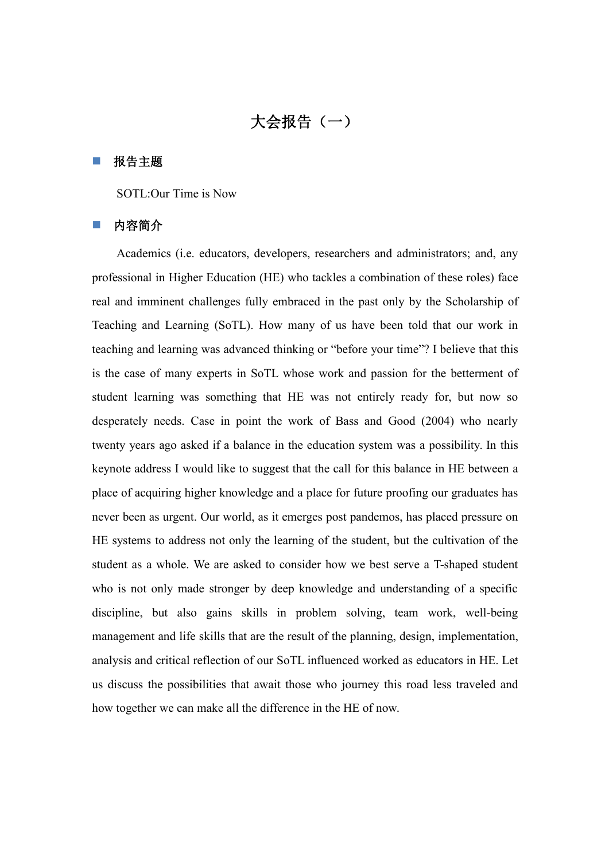# 大会报告(一)

#### ■ 报告主题

SOTL:Our Time is Now

### 内容简介

Academics (i.e. educators, developers, researchers and administrators; and, any professional in Higher Education (HE) who tackles a combination of these roles) face real and imminent challenges fully embraced in the past only by the Scholarship of Teaching and Learning (SoTL). How many of us have been told that our work in teaching and learning was advanced thinking or "before your time"? I believe that this is the case of many experts in SoTL whose work and passion for the betterment of student learning was something that HE was not entirely ready for, but now so desperately needs. Case in point the work of Bass and Good (2004) who nearly twenty years ago asked if a balance in the education system was a possibility. In this keynote address I would like to suggest that the call for this balance in HE between a place of acquiring higher knowledge and a place for future proofing our graduates has never been as urgent. Our world, as it emerges post pandemos, has placed pressure on HE systems to address not only the learning of the student, but the cultivation of the student as a whole. We are asked to consider how we best serve a T-shaped student who is not only made stronger by deep knowledge and understanding of a specific discipline, but also gains skills in problem solving, team work, well-being management and life skills that are the result of the planning, design, implementation, analysis and critical reflection of our SoTL influenced worked as educators in HE. Let us discuss the possibilities that await those who journey this road less traveled and how together we can make all the difference in the HE of now.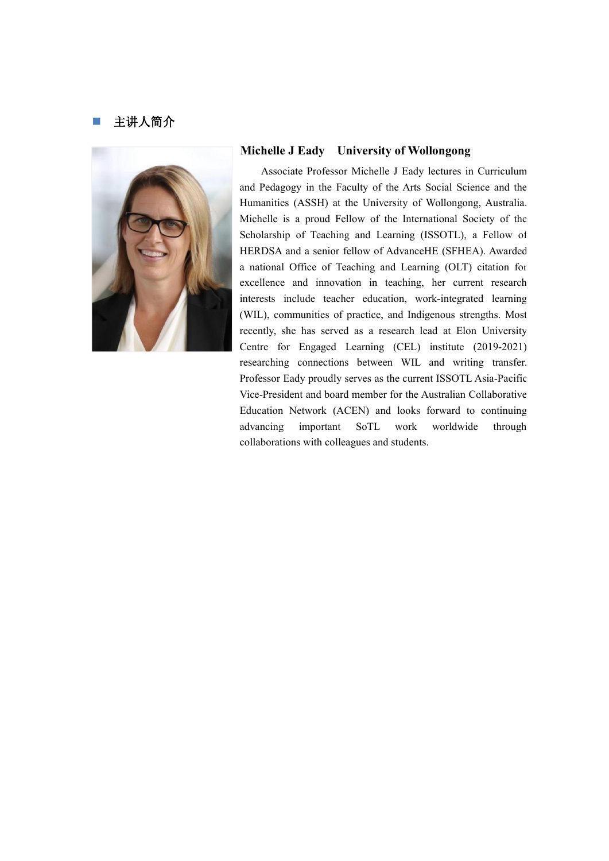## 主讲人简介



### **Michelle J Eady University of Wollongong**

Associate Professor Michelle J Eady lectures in Curriculum and Pedagogy in the Faculty of the Arts Social Science and the Humanities (ASSH) at the University of Wollongong, Australia. Michelle is a proud Fellow of the International Society of the Scholarship of Teaching and Learning (ISSOTL), a Fellow of HERDSA and a senior fellow of AdvanceHE (SFHEA). Awarded a national Office of Teaching and Learning (OLT) citation for excellence and innovation in teaching, her current research interests include teacher education, work-integrated learning (WIL), communities of practice, and Indigenous strengths. Most recently, she has served as a research lead at Elon University Centre for Engaged Learning (CEL) institute (2019-2021) researching connections between WIL and writing transfer. Professor Eady proudly serves as the current ISSOTL Asia-Pacific Vice-President and board member for the Australian Collaborative Education Network (ACEN) and looks forward to continuing advancing important SoTL work worldwide through collaborations with colleagues and students.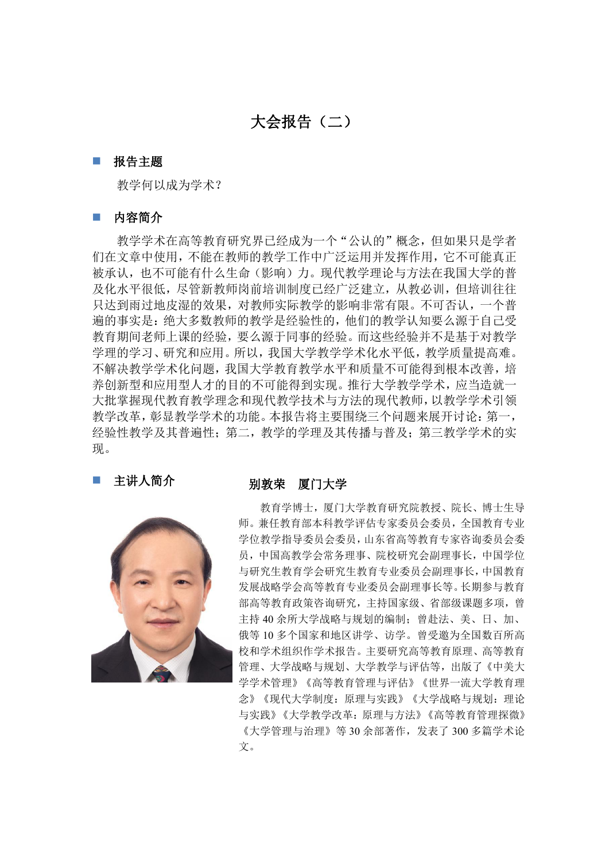# 大会报告(二)

#### ■ 报告主题

教学何以成为学术?

### ■ 内容简介

教学学术在高等教育研究界已经成为一个"公认的"概念,但如果只是学者 们在文章中使用,不能在教师的教学工作中广泛运用并发挥作用,它不可能真正 被承认,也不可能有什么生命(影响)力。现代教学理论与方法在我国大学的普 及化水平很低,尽管新教师岗前培训制度已经广泛建立,从教必训,但培训往往 只达到雨过地皮湿的效果,对教师实际教学的影响非常有限。不可否认,一个普 遍的事实是:绝大多数教师的教学是经验性的,他们的教学认知要么源于自己受 教育期间老师上课的经验,要么源于同事的经验。而这些经验并不是基于对教学 学理的学习、研究和应用。所以,我国大学教学学术化水平低,教学质量提高难。 不解决教学学术化问题,我国大学教育教学水平和质量不可能得到根本改善,培 养创新型和应用型人才的目的不可能得到实现。推行大学教学学术,应当造就一 大批掌握现代教育教学理念和现代教学技术与方法的现代教师,以教学学术引领 教学改革,彰显教学学术的功能。本报告将主要围绕三个问题来展开讨论:第一, 经验性教学及其普遍性;第二,教学的学理及其传播与普及;第三教学学术的实  $\overline{\mathbf{W}}$ 。



# 主讲人简介 别敦荣 厦门大学

教育学博士,厦门大学教育研究院教授、院长、博士生导 师。兼任教育部本科教学评估专家委员会委员,全国教育专业 学位教学指导委员会委员,山东省高等教育专家咨询委员会委 员,中国高教学会常务理事、院校研究会副理事长,中国学位 与研究生教育学会研究生教育专业委员会副理事长,中国教育 发展战略学会高等教育专业委员会副理事长等。长期参与教育 部高等教育政策咨询研究, 主持国家级、省部级课题多项, 曾 主持 40 余所大学战略与规划的编制;曾赴法、美、日、加、 俄等 10 多个国家和地区讲学、访学。曾受邀为全国数百所高 校和学术组织作学术报告。主要研究高等教育原理、高等教育 管理、大学战略与规划、大学教学与评估等,出版了《中美大 学学术管理》《高等教育管理与评估》《世界一流大学教育理 念》《现代大学制度:原理与实践》《大学战略与规划:理论 与实践》《大学教学改革:原理与方法》《高等教育管理探微》 《大学管理与治理》等 30 余部著作,发表了 300 多篇学术论 文。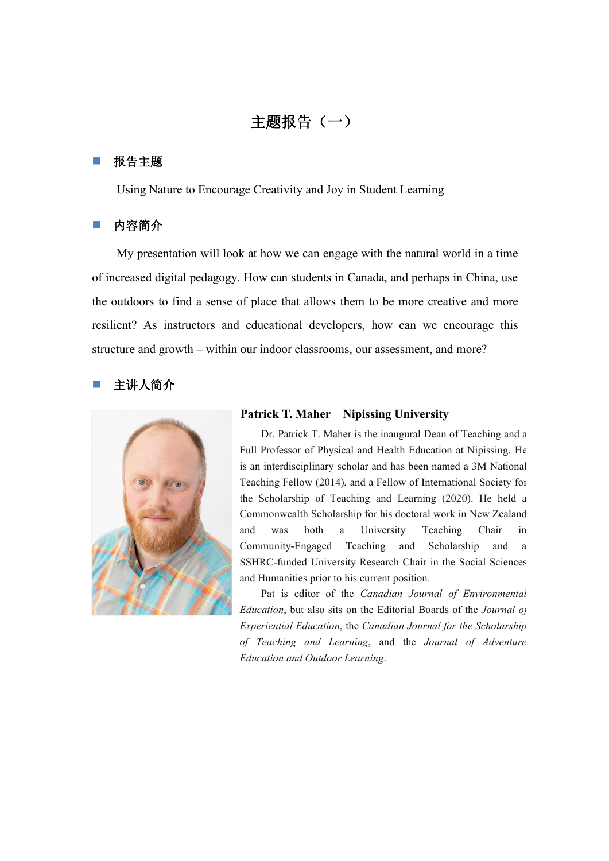# 主题报告(一)

### 报告主题

Using Nature to Encourage Creativity and Joy in Student Learning

# 内容简介

My presentation will look at how we can engage with the natural world in a time of increased digital pedagogy. How can students in Canada, and perhaps in China, use the outdoors to find a sense of place that allows them to be more creative and more resilient? As instructors and educational developers, how can we encourage this structure and growth – within our indoor classrooms, our assessment, and more?

# 主讲人简介



#### **Patrick T. Maher Nipissing University**

Dr. Patrick T. Maher is the inaugural Dean of Teaching and a Full Professor of Physical and Health Education at Nipissing. He is an interdisciplinary scholar and has been named a 3M National Teaching Fellow (2014), and a Fellow of International Society for the Scholarship of Teaching and Learning (2020). He held a Commonwealth Scholarship for his doctoral work in New Zealand and was both a University Teaching Chair in Community-Engaged Teaching and Scholarship and a SSHRC-funded University Research Chair in the Social Sciences and Humanities prior to his current position.

Pat is editor of the *Canadian Journal of Environmental Education*, but also sits on the Editorial Boards of the *Journal of Experiential Education*, the *Canadian Journal for the Scholarship of Teaching and Learning*, and the *Journal of Adventure Education and Outdoor Learning*.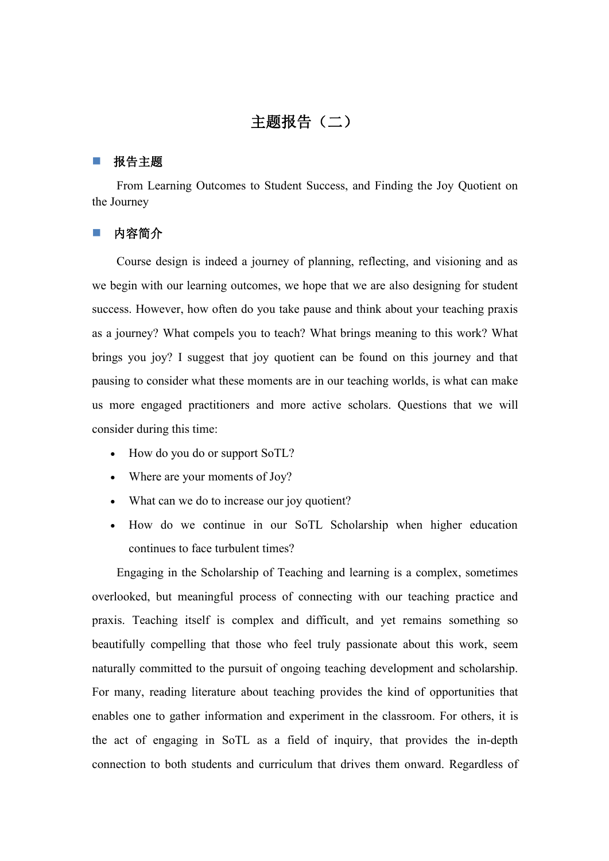# 主题报告(二)

#### ■ 报告主题

From Learning Outcomes to Student Success, and Finding the Joy Quotient on the Journey

### 内容简介

Course design is indeed a journey of planning, reflecting, and visioning and as we begin with our learning outcomes, we hope that we are also designing for student success. However, how often do you take pause and think about your teaching praxis as a journey? What compels you to teach? What brings meaning to this work? What brings you joy? I suggest that joy quotient can be found on this journey and that pausing to consider what these moments are in our teaching worlds, is what can make us more engaged practitioners and more active scholars. Questions that we will consider during this time:

- How do you do or support SoTL?
- Where are your moments of Joy?
- What can we do to increase our joy quotient?
- How do we continue in our SoTL Scholarship when higher education continues to face turbulent times?

Engaging in the Scholarship of Teaching and learning is a complex, sometimes overlooked, but meaningful process of connecting with our teaching practice and praxis. Teaching itself is complex and difficult, and yet remains something so beautifully compelling that those who feel truly passionate about this work, seem naturally committed to the pursuit of ongoing teaching development and scholarship. For many, reading literature about teaching provides the kind of opportunities that enables one to gather information and experiment in the classroom. For others, it is the act of engaging in SoTL as a field of inquiry, that provides the in-depth connection to both students and curriculum that drives them onward. Regardless of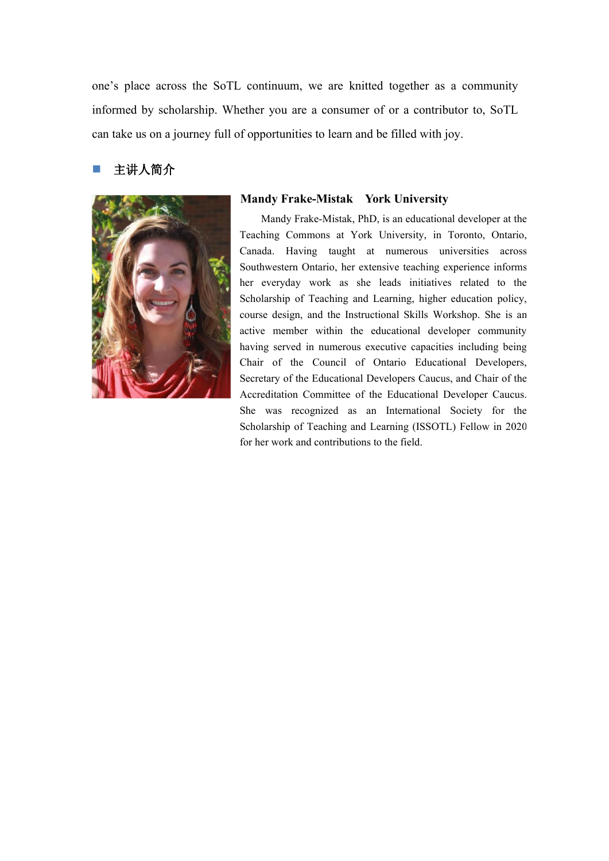one's place across the SoTL continuum, we are knitted together as a community informed by scholarship. Whether you are a consumer of or a contributor to, SoTL can take us on a journey full of opportunities to learn and be filled with joy.

## 主讲人简介



### **Mandy Frake-Mistak York University**

Mandy Frake-Mistak, PhD, is an educational developer at the Teaching Commons at York University, in Toronto, Ontario, Canada. Having taught at numerous universities across Southwestern Ontario, her extensive teaching experience informs her everyday work as she leads initiatives related to the Scholarship of Teaching and Learning, higher education policy, course design, and the Instructional Skills Workshop. She is an active member within the educational developer community having served in numerous executive capacities including being Chair of the Council of Ontario Educational Developers, Secretary of the Educational Developers Caucus, and Chair of the Accreditation Committee of the Educational Developer Caucus. She was recognized as an International Society for the Scholarship of Teaching and Learning (ISSOTL) Fellow in 2020 for her work and contributions to the field.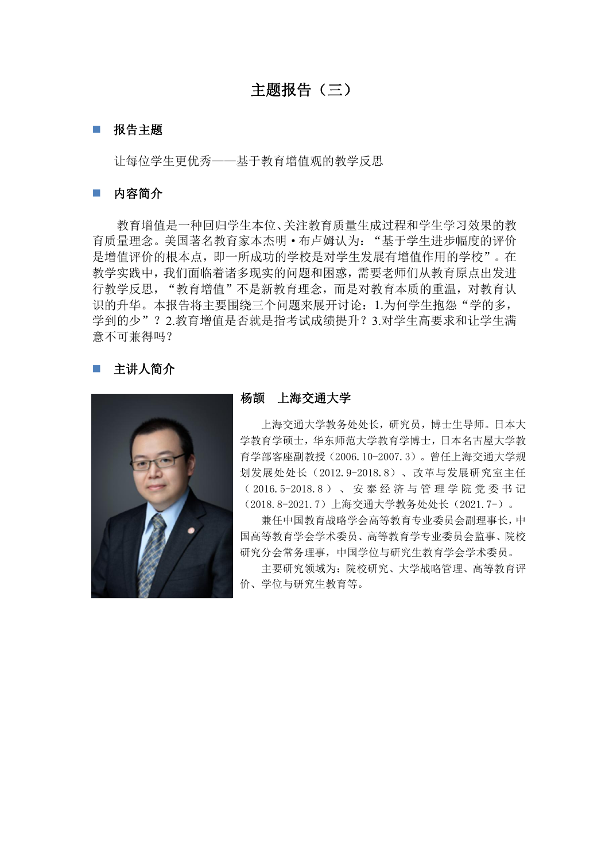# 主题报告(三)

### ■ 报告主题

让每位学生更优秀——基于教育增值观的教学反思

#### ■ 内容简介

教育增值是一种回归学生本位、关注教育质量生成过程和学生学习效果的教 育质量理念。美国著名教育家本杰明·布卢姆认为:"基于学生进步幅度的评价 是增值评价的根本点,即一所成功的学校是对学生发展有增值作用的学校"。在 教学实践中,我们面临着诸多现实的问题和困惑,需要老师们从教育原点出发进 行教学反思,"教育增值"不是新教育理念,而是对教育本质的重温,对教育认 识的升华。本报告将主要围绕三个问题来展开讨论: 1.为何学生抱怨"学的多, 学到的少"?2.教育增值是否就是指考试成绩提升?3.对学生高要求和让学生满 意不可兼得吗?

# 主讲人简介



### 杨颉 上海交通大学

上海交通大学教务处处长,研究员,博士生导师。日本大 学教育学硕士,华东师范大学教育学博士,日本名古屋大学教 育学部客座副教授(2006.10-2007.3)。曾任上海交通大学规 划发展处处长(2012.9-2018.8)、改革与发展研究室主任 ( 2016.5-2018.8 ) 、 安 泰 经 济 与 管 理 学 院 党 委 书 记 (2018.8-2021.7)上海交通大学教务处处长(2021.7-)。

兼任中国教育战略学会高等教育专业委员会副理事长,中 国高等教育学会学术委员、高等教育学专业委员会监事、院校 研究分会常务理事,中国学位与研究生教育学会学术委员。

主要研究领域为:院校研究、大学战略管理、高等教育评 价、学位与研究生教育等。